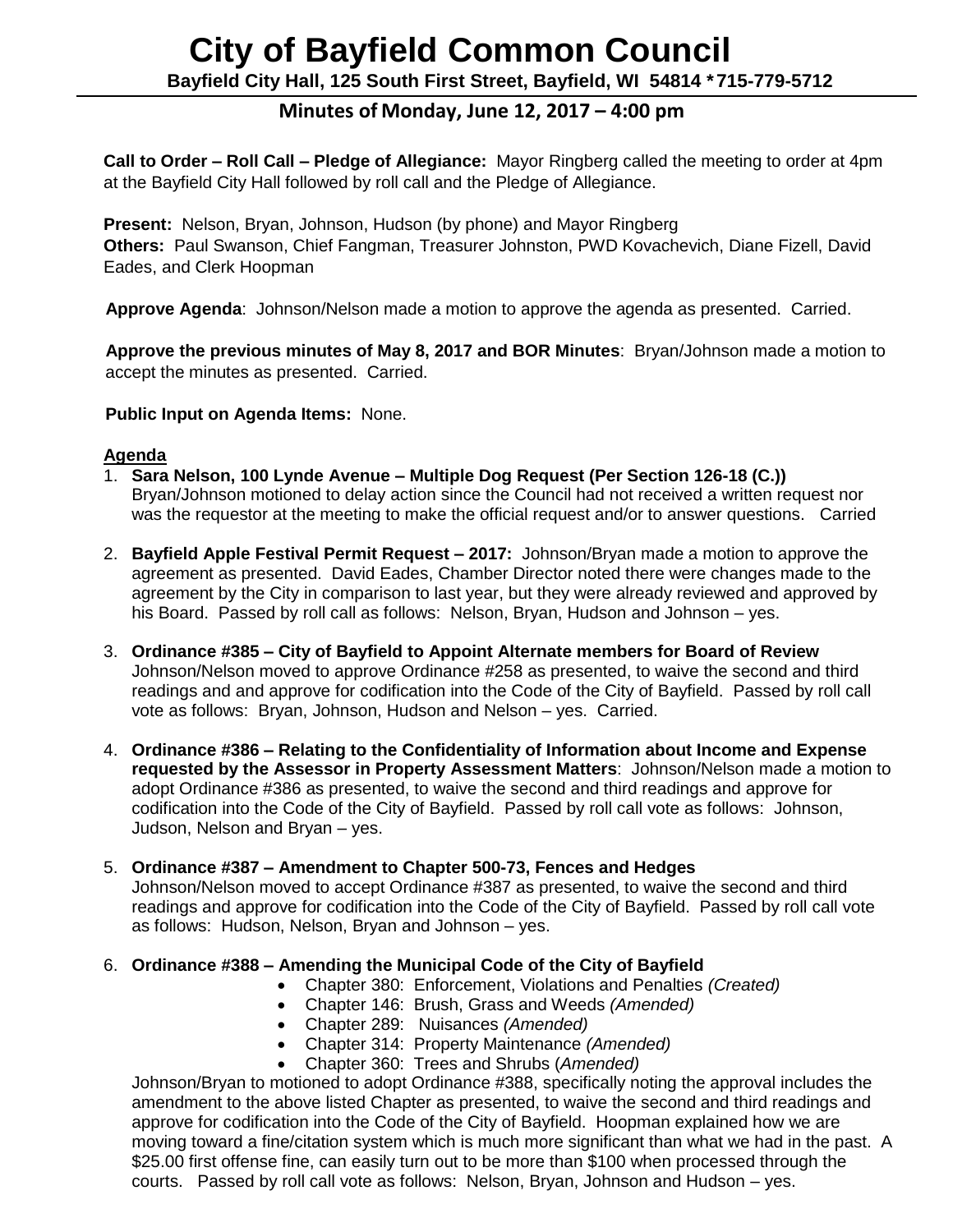# **City of Bayfield Common Council**

**Bayfield City Hall, 125 South First Street, Bayfield, WI 54814 \*715-779-5712**

# **Minutes of Monday, June 12, 2017 – 4:00 pm**

**Call to Order – Roll Call – Pledge of Allegiance:** Mayor Ringberg called the meeting to order at 4pm at the Bayfield City Hall followed by roll call and the Pledge of Allegiance.

**Present:** Nelson, Bryan, Johnson, Hudson (by phone) and Mayor Ringberg **Others:** Paul Swanson, Chief Fangman, Treasurer Johnston, PWD Kovachevich, Diane Fizell, David Eades, and Clerk Hoopman

**Approve Agenda**: Johnson/Nelson made a motion to approve the agenda as presented. Carried.

 **Approve the previous minutes of May 8, 2017 and BOR Minutes**: Bryan/Johnson made a motion to accept the minutes as presented. Carried.

 **Public Input on Agenda Items:** None.

#### **Agenda**

- 1. **Sara Nelson, 100 Lynde Avenue – Multiple Dog Request (Per Section 126-18 (C.))** Bryan/Johnson motioned to delay action since the Council had not received a written request nor was the requestor at the meeting to make the official request and/or to answer questions. Carried
- 2. **Bayfield Apple Festival Permit Request – 2017:** Johnson/Bryan made a motion to approve the agreement as presented. David Eades, Chamber Director noted there were changes made to the agreement by the City in comparison to last year, but they were already reviewed and approved by his Board. Passed by roll call as follows: Nelson, Bryan, Hudson and Johnson – yes.
- 3. **Ordinance #385 – City of Bayfield to Appoint Alternate members for Board of Review** Johnson/Nelson moved to approve Ordinance #258 as presented, to waive the second and third readings and and approve for codification into the Code of the City of Bayfield. Passed by roll call vote as follows: Bryan, Johnson, Hudson and Nelson – yes. Carried.
- 4. **Ordinance #386 – Relating to the Confidentiality of Information about Income and Expense requested by the Assessor in Property Assessment Matters**: Johnson/Nelson made a motion to adopt Ordinance #386 as presented, to waive the second and third readings and approve for codification into the Code of the City of Bayfield. Passed by roll call vote as follows: Johnson, Judson, Nelson and Bryan – yes.
- 5. **Ordinance #387 – Amendment to Chapter 500-73, Fences and Hedges** Johnson/Nelson moved to accept Ordinance #387 as presented, to waive the second and third readings and approve for codification into the Code of the City of Bayfield. Passed by roll call vote as follows: Hudson, Nelson, Bryan and Johnson – yes.

#### 6. **Ordinance #388 – Amending the Municipal Code of the City of Bayfield**

- Chapter 380: Enforcement, Violations and Penalties *(Created)*
- Chapter 146: Brush, Grass and Weeds *(Amended)*
- Chapter 289: Nuisances *(Amended)*
- Chapter 314: Property Maintenance *(Amended)*
- Chapter 360: Trees and Shrubs (*Amended)*

Johnson/Bryan to motioned to adopt Ordinance #388, specifically noting the approval includes the amendment to the above listed Chapter as presented, to waive the second and third readings and approve for codification into the Code of the City of Bayfield. Hoopman explained how we are moving toward a fine/citation system which is much more significant than what we had in the past. A \$25.00 first offense fine, can easily turn out to be more than \$100 when processed through the courts. Passed by roll call vote as follows: Nelson, Bryan, Johnson and Hudson – yes.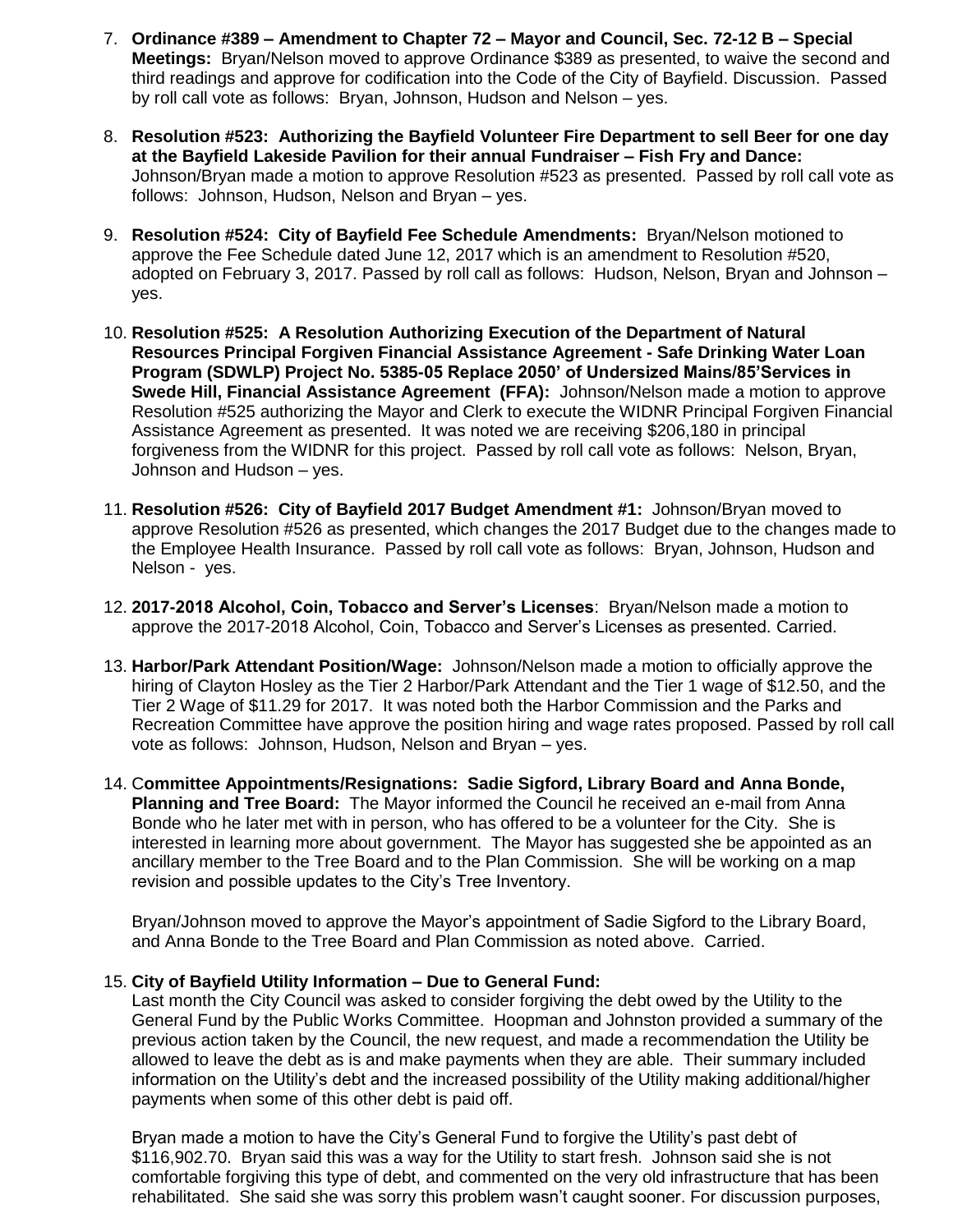- 7. **Ordinance #389 – Amendment to Chapter 72 – Mayor and Council, Sec. 72-12 B – Special Meetings:** Bryan/Nelson moved to approve Ordinance \$389 as presented, to waive the second and third readings and approve for codification into the Code of the City of Bayfield. Discussion. Passed by roll call vote as follows: Bryan, Johnson, Hudson and Nelson – yes.
- 8. **Resolution #523: Authorizing the Bayfield Volunteer Fire Department to sell Beer for one day at the Bayfield Lakeside Pavilion for their annual Fundraiser – Fish Fry and Dance:** Johnson/Bryan made a motion to approve Resolution #523 as presented. Passed by roll call vote as follows: Johnson, Hudson, Nelson and Bryan – yes.
- 9. **Resolution #524: City of Bayfield Fee Schedule Amendments:** Bryan/Nelson motioned to approve the Fee Schedule dated June 12, 2017 which is an amendment to Resolution #520, adopted on February 3, 2017. Passed by roll call as follows: Hudson, Nelson, Bryan and Johnson – yes.
- 10. **Resolution #525: A Resolution Authorizing Execution of the Department of Natural Resources Principal Forgiven Financial Assistance Agreement - Safe Drinking Water Loan Program (SDWLP) Project No. 5385-05 Replace 2050' of Undersized Mains/85'Services in Swede Hill, Financial Assistance Agreement (FFA):** Johnson/Nelson made a motion to approve Resolution #525 authorizing the Mayor and Clerk to execute the WIDNR Principal Forgiven Financial Assistance Agreement as presented. It was noted we are receiving \$206,180 in principal forgiveness from the WIDNR for this project. Passed by roll call vote as follows: Nelson, Bryan, Johnson and Hudson – yes.
- 11. **Resolution #526: City of Bayfield 2017 Budget Amendment #1:** Johnson/Bryan moved to approve Resolution #526 as presented, which changes the 2017 Budget due to the changes made to the Employee Health Insurance. Passed by roll call vote as follows: Bryan, Johnson, Hudson and Nelson - yes.
- 12. **2017-2018 Alcohol, Coin, Tobacco and Server's Licenses**: Bryan/Nelson made a motion to approve the 2017-2018 Alcohol, Coin, Tobacco and Server's Licenses as presented. Carried.
- 13. **Harbor/Park Attendant Position/Wage:** Johnson/Nelson made a motion to officially approve the hiring of Clayton Hosley as the Tier 2 Harbor/Park Attendant and the Tier 1 wage of \$12.50, and the Tier 2 Wage of \$11.29 for 2017. It was noted both the Harbor Commission and the Parks and Recreation Committee have approve the position hiring and wage rates proposed. Passed by roll call vote as follows: Johnson, Hudson, Nelson and Bryan – yes.
- 14. C**ommittee Appointments/Resignations: Sadie Sigford, Library Board and Anna Bonde, Planning and Tree Board:** The Mayor informed the Council he received an e-mail from Anna Bonde who he later met with in person, who has offered to be a volunteer for the City. She is interested in learning more about government. The Mayor has suggested she be appointed as an ancillary member to the Tree Board and to the Plan Commission. She will be working on a map revision and possible updates to the City's Tree Inventory.

Bryan/Johnson moved to approve the Mayor's appointment of Sadie Sigford to the Library Board, and Anna Bonde to the Tree Board and Plan Commission as noted above. Carried.

#### 15. **City of Bayfield Utility Information – Due to General Fund:**

Last month the City Council was asked to consider forgiving the debt owed by the Utility to the General Fund by the Public Works Committee. Hoopman and Johnston provided a summary of the previous action taken by the Council, the new request, and made a recommendation the Utility be allowed to leave the debt as is and make payments when they are able. Their summary included information on the Utility's debt and the increased possibility of the Utility making additional/higher payments when some of this other debt is paid off.

Bryan made a motion to have the City's General Fund to forgive the Utility's past debt of \$116,902.70. Bryan said this was a way for the Utility to start fresh. Johnson said she is not comfortable forgiving this type of debt, and commented on the very old infrastructure that has been rehabilitated. She said she was sorry this problem wasn't caught sooner. For discussion purposes,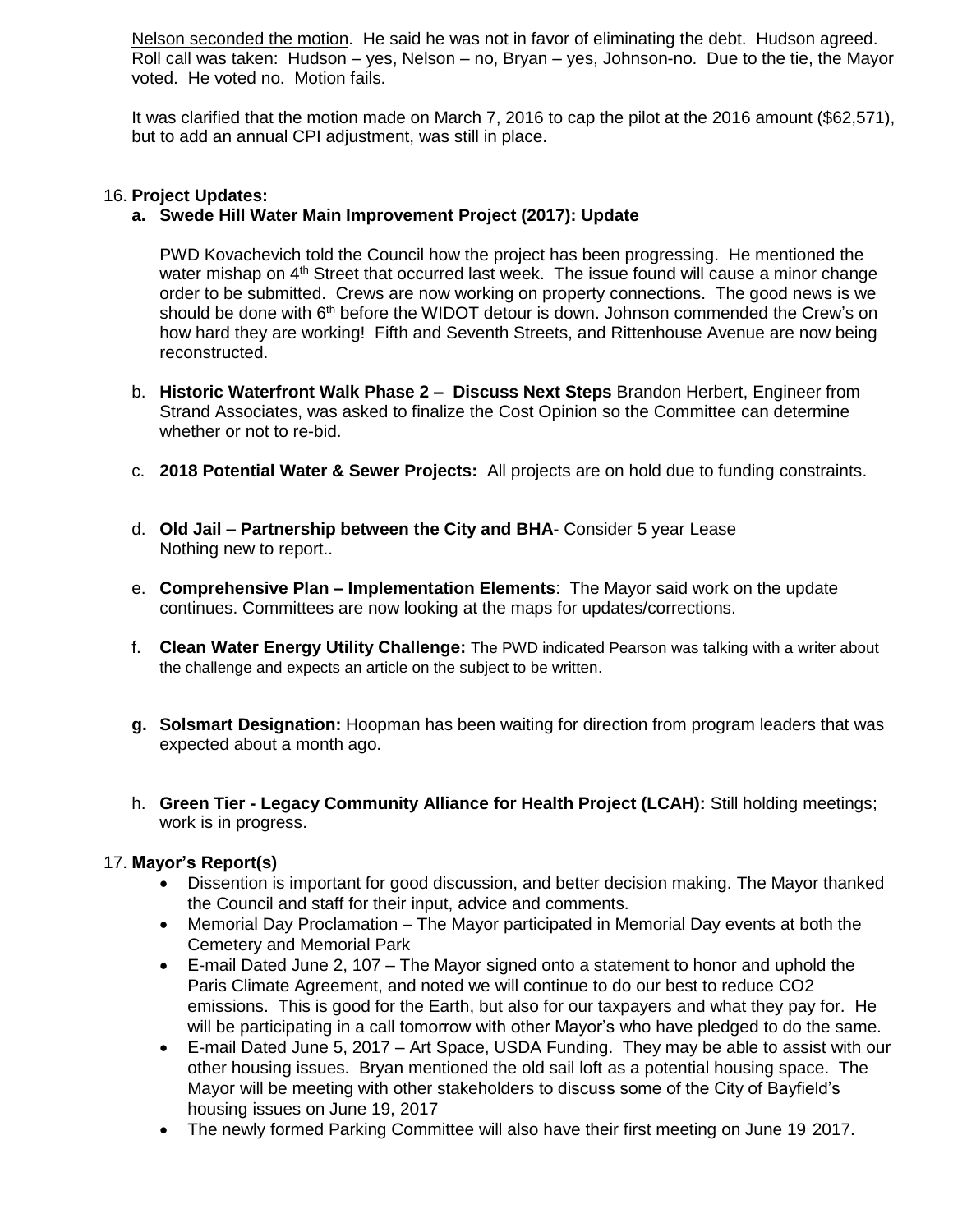Nelson seconded the motion. He said he was not in favor of eliminating the debt. Hudson agreed. Roll call was taken: Hudson – yes, Nelson – no, Bryan – yes, Johnson-no. Due to the tie, the Mayor voted. He voted no. Motion fails.

It was clarified that the motion made on March 7, 2016 to cap the pilot at the 2016 amount (\$62,571), but to add an annual CPI adjustment, was still in place.

#### 16. **Project Updates:**

#### **a. Swede Hill Water Main Improvement Project (2017): Update**

PWD Kovachevich told the Council how the project has been progressing. He mentioned the water mishap on 4<sup>th</sup> Street that occurred last week. The issue found will cause a minor change order to be submitted. Crews are now working on property connections. The good news is we should be done with 6<sup>th</sup> before the WIDOT detour is down. Johnson commended the Crew's on how hard they are working! Fifth and Seventh Streets, and Rittenhouse Avenue are now being reconstructed.

- b. **Historic Waterfront Walk Phase 2 – Discuss Next Steps** Brandon Herbert, Engineer from Strand Associates, was asked to finalize the Cost Opinion so the Committee can determine whether or not to re-bid.
- c. **2018 Potential Water & Sewer Projects:** All projects are on hold due to funding constraints.
- d. **Old Jail – Partnership between the City and BHA** Consider 5 year Lease Nothing new to report..
- e. **Comprehensive Plan – Implementation Elements**: The Mayor said work on the update continues. Committees are now looking at the maps for updates/corrections.
- f. **Clean Water Energy Utility Challenge:** The PWD indicated Pearson was talking with a writer about the challenge and expects an article on the subject to be written.
- **g. Solsmart Designation:** Hoopman has been waiting for direction from program leaders that was expected about a month ago.
- h. **Green Tier - Legacy Community Alliance for Health Project (LCAH):** Still holding meetings; work is in progress.

#### 17. **Mayor's Report(s)**

- Dissention is important for good discussion, and better decision making. The Mayor thanked the Council and staff for their input, advice and comments.
- Memorial Day Proclamation The Mayor participated in Memorial Day events at both the Cemetery and Memorial Park
- E-mail Dated June 2, 107 The Mayor signed onto a statement to honor and uphold the Paris Climate Agreement, and noted we will continue to do our best to reduce CO2 emissions. This is good for the Earth, but also for our taxpayers and what they pay for. He will be participating in a call tomorrow with other Mayor's who have pledged to do the same.
- E-mail Dated June 5, 2017 Art Space, USDA Funding. They may be able to assist with our other housing issues. Bryan mentioned the old sail loft as a potential housing space. The Mayor will be meeting with other stakeholders to discuss some of the City of Bayfield's housing issues on June 19, 2017
- The newly formed Parking Committee will also have their first meeting on June 19 2017.